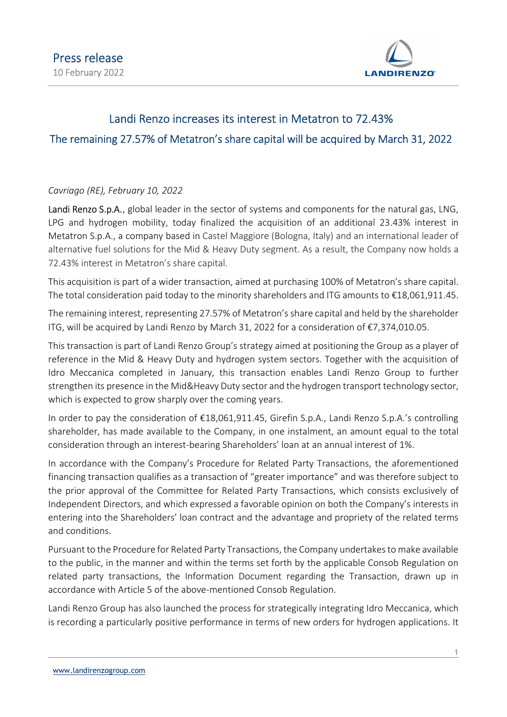

## Landi Renzo increases its interest in Metatron to 72.43% The remaining 27.57% of Metatron's share capital will be acquired by March 31, 2022

## Cavriago (RE), February 10, 2022

Landi Renzo S.p.A., global leader in the sector of systems and components for the natural gas, LNG, LPG and hydrogen mobility, today finalized the acquisition of an additional 23.43% interest in Metatron S.p.A., a company based in Castel Maggiore (Bologna, Italy) and an international leader of alternative fuel solutions for the Mid & Heavy Duty segment. As a result, the Company now holds a 72.43% interest in Metatron's share capital.

This acquisition is part of a wider transaction, aimed at purchasing 100% of Metatron's share capital. The total consideration paid today to the minority shareholders and ITG amounts to €18,061,911.45.

The remaining interest, representing 27.57% of Metatron's share capital and held by the shareholder ITG, will be acquired by Landi Renzo by March 31, 2022 for a consideration of €7,374,010.05.

This transaction is part of Landi Renzo Group's strategy aimed at positioning the Group as a player of reference in the Mid & Heavy Duty and hydrogen system sectors. Together with the acquisition of Idro Meccanica completed in January, this transaction enables Landi Renzo Group to further strengthen its presence in the Mid&Heavy Duty sector and the hydrogen transport technology sector, which is expected to grow sharply over the coming years.

In order to pay the consideration of €18,061,911.45, Girefin S.p.A., Landi Renzo S.p.A.'s controlling shareholder, has made available to the Company, in one instalment, an amount equal to the total consideration through an interest-bearing Shareholders' loan at an annual interest of 1%.

In accordance with the Company's Procedure for Related Party Transactions, the aforementioned financing transaction qualifies as a transaction of "greater importance" and was therefore subject to the prior approval of the Committee for Related Party Transactions, which consists exclusively of Independent Directors, and which expressed a favorable opinion on both the Company's interests in entering into the Shareholders' loan contract and the advantage and propriety of the related terms and conditions.

Pursuant to the Procedure for Related Party Transactions, the Company undertakes to make available to the public, in the manner and within the terms set forth by the applicable Consob Regulation on related party transactions, the Information Document regarding the Transaction, drawn up in accordance with Article 5 of the above-mentioned Consob Regulation.

Landi Renzo Group has also launched the process for strategically integrating Idro Meccanica, which is recording a particularly positive performance in terms of new orders for hydrogen applications. It